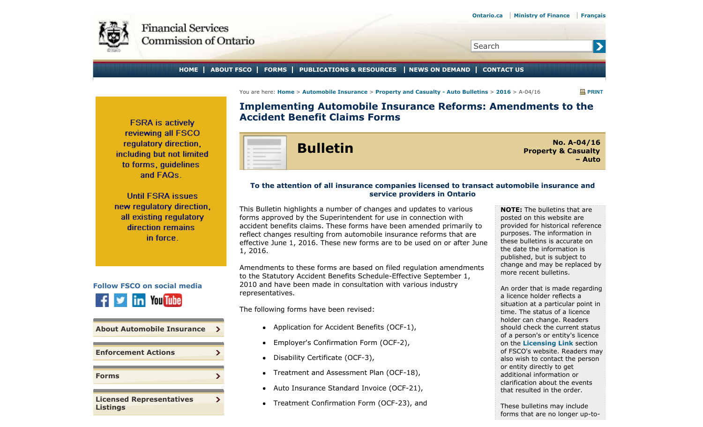<span id="page-0-0"></span>

Search

## **HOME ABOUT FSCO FORMS PUBLICATIONS & RESOURCES NEWS ON DEMAND CONTACT US**

You are here: **Home** > **Automobile Insurance** > **Property and Casualty - Auto Bulletins** > **2016** > A-04/16 **PRINT**

 $\blacktriangleright$ 

**FSRA** is actively reviewing all FSCO regulatory direction. including but not limited to forms, quidelines and FAQs.

**Until FSRA issues** new regulatory direction, all existing regulatory direction remains in force.



| <b>About Automobile Insurance</b>                  | > |
|----------------------------------------------------|---|
| <b>Enforcement Actions</b>                         |   |
| <b>Forms</b>                                       |   |
| <b>Licensed Representatives</b><br><b>Listings</b> |   |

**Implementing Automobile Insurance Reforms: Amendments to the Accident Benefit Claims Forms**

**Bulletin No. A-04/16**<br>Property & Casualty **Property & Casualty – Auto**

## **To the attention of all insurance companies licensed to transact automobile insurance and service providers in Ontario**

This Bulletin highlights a number of changes and updates to various forms approved by the Superintendent for use in connection with accident benefits claims. These forms have been amended primarily to reflect changes resulting from automobile insurance reforms that are effective June 1, 2016. These new forms are to be used on or after June 1, 2016.

Amendments to these forms are based on filed regulation amendments to the Statutory Accident Benefits Schedule-Effective September 1, 2010 and have been made in consultation with various industry representatives.

The following forms have been revised:

- Application for Accident Benefits (OCF-1),
- Employer's Confirmation Form (OCF-2),
- Disability Certificate (OCF-3),
- Treatment and Assessment Plan (OCF-18),
- Auto Insurance Standard Invoice (OCF-21),
- Treatment Confirmation Form (OCF-23), and

**NOTE:** The bulletins that are posted on this website are provided for historical reference purposes. The information in these bulletins is accurate on the date the information is published, but is subject to change and may be replaced by more recent bulletins.

An order that is made regarding a licence holder reflects a situation at a particular point in time. The status of a licence holder can change. Readers should check the current status of a person's or entity's licence on the **Licensing Link** section of FSCO's website. Readers may also wish to contact the person or entity directly to get additional information or clarification about the events that resulted in the order.

These bulletins may include forms that are no longer up-to-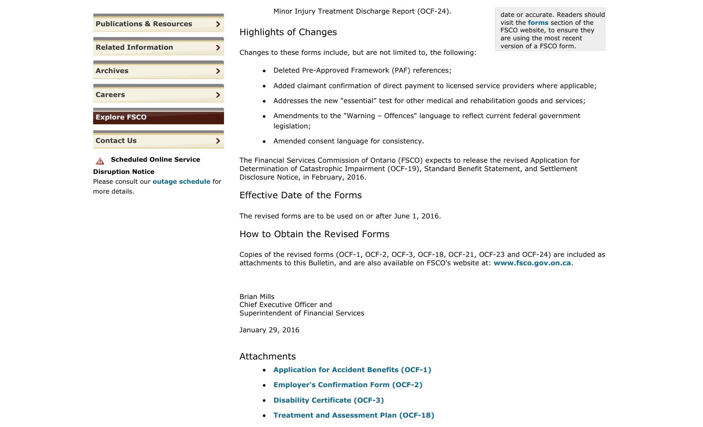| <b>Publications &amp; Resources</b> | > |
|-------------------------------------|---|
|                                     |   |
| <b>Related Information</b>          | ⋗ |
| <b>Archives</b>                     | ∍ |
|                                     |   |
| <b>Careers</b>                      |   |
|                                     |   |
| <b>Explore FSCO</b>                 |   |
|                                     |   |
| <b>Contact Us</b>                   |   |

**A** Scheduled Online Service **Disruption Notice**

Please consult our **outage schedule** for more details.

Minor Injury Treatment Discharge Report (OCF-24).

Highlights of Changes

date or accurate. Readers should visit the **forms** section of the FSCO website, to ensure they are using the most recent version of a FSCO form.

Changes to these forms include, but are not limited to, the following:

- Deleted Pre-Approved Framework (PAF) references;
- Added claimant confirmation of direct payment to licensed service providers where applicable;
- Addresses the new "essential" test for other medical and rehabilitation goods and services;
- Amendments to the "Warning Offences" language to reflect current federal government legislation;
- Amended consent language for consistency.

The Financial Services Commission of Ontario (FSCO) expects to release the revised Application for Determination of Catastrophic Impairment (OCF-19), Standard Benefit Statement, and Settlement Disclosure Notice, in February, 2016.

## Effective Date of the Forms

The revised forms are to be used on or after June 1, 2016.

How to Obtain the Revised Forms

Copies of the revised forms (OCF-1, OCF-2, OCF-3, OCF-18, OCF-21, OCF-23 and OCF-24) are included as attachments to this Bulletin, and are also available on FSCO's website at: **www.fsco.gov.on.ca**.

Brian Mills Chief Executive Officer and Superintendent of Financial Services

January 29, 2016

## Attachments

- **Application for Accident Benefits (OCF-1)**
- **Employer's Confirmation Form (OCF-2)**
- **Disability Certificate (OCF-3)**
- **Treatment and Assessment Plan (OCF-18)**